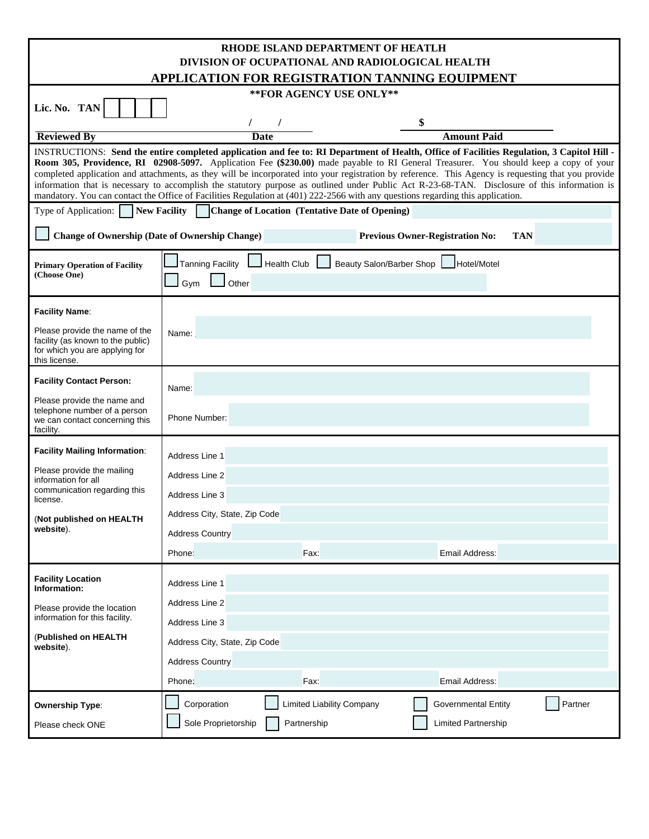| RHODE ISLAND DEPARTMENT OF HEATLH<br>DIVISION OF OCUPATIONAL AND RADIOLOGICAL HEALTH                                                                                                                                                                                                                                                                                                                                                                                                                                                                                                                                                                                                                                          |                                                                                          |                                  |                                       |  |  |  |  |  |  |
|-------------------------------------------------------------------------------------------------------------------------------------------------------------------------------------------------------------------------------------------------------------------------------------------------------------------------------------------------------------------------------------------------------------------------------------------------------------------------------------------------------------------------------------------------------------------------------------------------------------------------------------------------------------------------------------------------------------------------------|------------------------------------------------------------------------------------------|----------------------------------|---------------------------------------|--|--|--|--|--|--|
| APPLICATION FOR REGISTRATION TANNING EOUIPMENT                                                                                                                                                                                                                                                                                                                                                                                                                                                                                                                                                                                                                                                                                |                                                                                          |                                  |                                       |  |  |  |  |  |  |
| **FOR AGENCY USE ONLY**                                                                                                                                                                                                                                                                                                                                                                                                                                                                                                                                                                                                                                                                                                       |                                                                                          |                                  |                                       |  |  |  |  |  |  |
| Lic. No. TAN                                                                                                                                                                                                                                                                                                                                                                                                                                                                                                                                                                                                                                                                                                                  |                                                                                          |                                  |                                       |  |  |  |  |  |  |
|                                                                                                                                                                                                                                                                                                                                                                                                                                                                                                                                                                                                                                                                                                                               |                                                                                          |                                  | \$                                    |  |  |  |  |  |  |
| <b>Reviewed By</b>                                                                                                                                                                                                                                                                                                                                                                                                                                                                                                                                                                                                                                                                                                            |                                                                                          | <b>Date</b>                      | <b>Amount Paid</b>                    |  |  |  |  |  |  |
| INSTRUCTIONS: Send the entire completed application and fee to: RI Department of Health, Office of Facilities Regulation, 3 Capitol Hill -<br>Room 305, Providence, RI 02908-5097. Application Fee (\$230.00) made payable to RI General Treasurer. You should keep a copy of your<br>completed application and attachments, as they will be incorporated into your registration by reference. This Agency is requesting that you provide<br>information that is necessary to accomplish the statutory purpose as outlined under Public Act R-23-68-TAN. Disclosure of this information is<br>mandatory. You can contact the Office of Facilities Regulation at (401) 222-2566 with any questions regarding this application. |                                                                                          |                                  |                                       |  |  |  |  |  |  |
| Type of Application: New Facility Change of Location (Tentative Date of Opening)                                                                                                                                                                                                                                                                                                                                                                                                                                                                                                                                                                                                                                              |                                                                                          |                                  |                                       |  |  |  |  |  |  |
| <b>Change of Ownership (Date of Ownership Change)</b><br><b>Previous Owner-Registration No:</b><br><b>TAN</b>                                                                                                                                                                                                                                                                                                                                                                                                                                                                                                                                                                                                                 |                                                                                          |                                  |                                       |  |  |  |  |  |  |
| <b>Primary Operation of Facility</b><br>(Choose One)                                                                                                                                                                                                                                                                                                                                                                                                                                                                                                                                                                                                                                                                          | Tanning Facility   Health Club  <br>Beauty Salon/Barber Shop Hotel/Motel<br>Other<br>Gym |                                  |                                       |  |  |  |  |  |  |
| <b>Facility Name:</b>                                                                                                                                                                                                                                                                                                                                                                                                                                                                                                                                                                                                                                                                                                         |                                                                                          |                                  |                                       |  |  |  |  |  |  |
| Please provide the name of the<br>facility (as known to the public)<br>for which you are applying for<br>this license.                                                                                                                                                                                                                                                                                                                                                                                                                                                                                                                                                                                                        | Name:                                                                                    |                                  |                                       |  |  |  |  |  |  |
| <b>Facility Contact Person:</b>                                                                                                                                                                                                                                                                                                                                                                                                                                                                                                                                                                                                                                                                                               |                                                                                          |                                  |                                       |  |  |  |  |  |  |
| Please provide the name and<br>telephone number of a person<br>we can contact concerning this<br>facility.                                                                                                                                                                                                                                                                                                                                                                                                                                                                                                                                                                                                                    | Name:<br>Phone Number:                                                                   |                                  |                                       |  |  |  |  |  |  |
| <b>Facility Mailing Information:</b>                                                                                                                                                                                                                                                                                                                                                                                                                                                                                                                                                                                                                                                                                          |                                                                                          |                                  |                                       |  |  |  |  |  |  |
| Please provide the mailing                                                                                                                                                                                                                                                                                                                                                                                                                                                                                                                                                                                                                                                                                                    | Address Line 1                                                                           |                                  |                                       |  |  |  |  |  |  |
| information for all                                                                                                                                                                                                                                                                                                                                                                                                                                                                                                                                                                                                                                                                                                           | Address Line 2                                                                           |                                  |                                       |  |  |  |  |  |  |
| communication regarding this<br>license.                                                                                                                                                                                                                                                                                                                                                                                                                                                                                                                                                                                                                                                                                      | Address Line 3                                                                           |                                  |                                       |  |  |  |  |  |  |
| (Not published on HEALTH                                                                                                                                                                                                                                                                                                                                                                                                                                                                                                                                                                                                                                                                                                      | Address City, State, Zip Code                                                            |                                  |                                       |  |  |  |  |  |  |
| website).                                                                                                                                                                                                                                                                                                                                                                                                                                                                                                                                                                                                                                                                                                                     | <b>Address Country</b>                                                                   |                                  |                                       |  |  |  |  |  |  |
|                                                                                                                                                                                                                                                                                                                                                                                                                                                                                                                                                                                                                                                                                                                               | Phone:                                                                                   | Fax:                             | Email Address:                        |  |  |  |  |  |  |
| <b>Facility Location</b><br>Information:                                                                                                                                                                                                                                                                                                                                                                                                                                                                                                                                                                                                                                                                                      | Address Line 1                                                                           |                                  |                                       |  |  |  |  |  |  |
| Please provide the location                                                                                                                                                                                                                                                                                                                                                                                                                                                                                                                                                                                                                                                                                                   | Address Line 2                                                                           |                                  |                                       |  |  |  |  |  |  |
| information for this facility.                                                                                                                                                                                                                                                                                                                                                                                                                                                                                                                                                                                                                                                                                                | Address Line 3                                                                           |                                  |                                       |  |  |  |  |  |  |
| (Published on HEALTH<br>website).                                                                                                                                                                                                                                                                                                                                                                                                                                                                                                                                                                                                                                                                                             | Address City, State, Zip Code                                                            |                                  |                                       |  |  |  |  |  |  |
|                                                                                                                                                                                                                                                                                                                                                                                                                                                                                                                                                                                                                                                                                                                               | <b>Address Country</b>                                                                   |                                  |                                       |  |  |  |  |  |  |
|                                                                                                                                                                                                                                                                                                                                                                                                                                                                                                                                                                                                                                                                                                                               | Phone:                                                                                   | Fax:                             | Email Address:                        |  |  |  |  |  |  |
| <b>Ownership Type:</b>                                                                                                                                                                                                                                                                                                                                                                                                                                                                                                                                                                                                                                                                                                        | Corporation                                                                              | <b>Limited Liability Company</b> | Partner<br><b>Governmental Entity</b> |  |  |  |  |  |  |
| Please check ONE                                                                                                                                                                                                                                                                                                                                                                                                                                                                                                                                                                                                                                                                                                              | Sole Proprietorship                                                                      | Partnership                      | Limited Partnership                   |  |  |  |  |  |  |